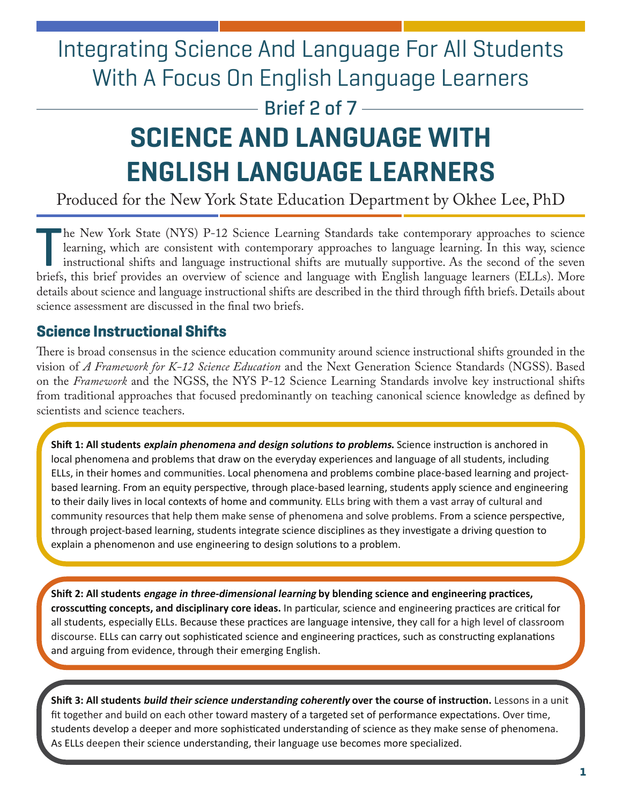# Integrating Science And Language For All Students With A Focus On English Language Learners

 $-$  Brief 2 of 7 $-$ 

# **SCIENCE AND LANGUAGE WITH ENGLISH LANGUAGE LEARNERS**

Produced for the New York State Education Department by Okhee Lee, PhD

 $\begin{bmatrix} \phantom{-} \\ \phantom{-} \\ \phantom{-} \\ \phantom{-} \\ \phantom{-} \\ \phantom{-} \\ \phantom{-} \\ \phantom{-} \\ \phantom{-} \\ \phantom{-} \\ \phantom{-} \\ \phantom{-} \\ \phantom{-} \\ \phantom{-} \\ \phantom{-} \\ \phantom{-} \\ \phantom{-} \\ \phantom{-} \\ \phantom{-} \\ \phantom{-} \\ \phantom{-} \\ \phantom{-} \\ \phantom{-} \\ \phantom{-} \\ \phantom{-} \\ \phantom{-} \\ \phantom{-} \\ \phantom{-} \\ \phantom{-} \\ \phantom{-} \\ \phantom{-} \\ \phantom{-} \\ \phantom{-} \\ \phantom{-} \\ \phantom{-} \\ \phantom{$ he New York State (NYS) P-12 Science Learning Standards take contemporary approaches to science learning, which are consistent with contemporary approaches to language learning. In this way, science instructional shifts and language instructional shifts are mutually supportive. As the second of the seven briefs, this brief provides an overview of science and language with English language learners (ELLs). More details about science and language instructional shifts are described in the third through ffth briefs. Details about science assessment are discussed in the fnal two briefs.

# **Science Instructional Shifts**

There is broad consensus in the science education community around science instructional shifts grounded in the vision of *A Framework for K-12 Science Education* and the Next Generation Science Standards (NGSS). Based on the *Framework* and the NGSS, the NYS P-12 Science Learning Standards involve key instructional shifts from traditional approaches that focused predominantly on teaching canonical science knowledge as defned by scientists and science teachers.

**Shift 1: All students explain phenomena and design solutions to problems.** Science instruction is anchored in local phenomena and problems that draw on the everyday experiences and language of all students, including ELLs, in their homes and communities. Local phenomena and problems combine place-based learning and projectbased learning. From an equity perspective, through place-based learning, students apply science and engineering to their daily lives in local contexts of home and community. ELLs bring with them a vast array of cultural and community resources that help them make sense of phenomena and solve problems. From a science perspective, through project-based learning, students integrate science disciplines as they investigate a driving question to explain a phenomenon and use engineering to design solutions to a problem.

**Shift 2: All students engage in three-dimensional learning by blending science and engineering practices, crosscutting concepts, and disciplinary core ideas.** In particular, science and engineering practices are critical for all students, especially ELLs. Because these practices are language intensive, they call for a high level of classroom discourse. ELLs can carry out sophisticated science and engineering practices, such as constructing explanations and arguing from evidence, through their emerging English.

**Shift 3: All students build their science understanding coherently over the course of instruction.** Lessons in a unit fit together and build on each other toward mastery of a targeted set of performance expectations. Over time, students develop a deeper and more sophisticated understanding of science as they make sense of phenomena. As ELLs deepen their science understanding, their language use becomes more specialized.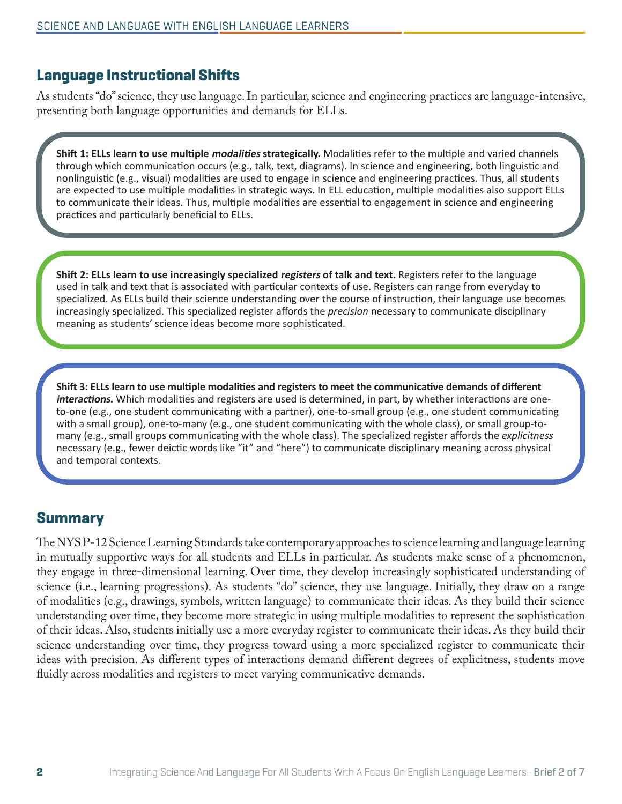#### **Language Instructional Shifts**

As students "do" science, they use language. In particular, science and engineering practices are language-intensive, presenting both language opportunities and demands for ELLs.

**Shift 1: ELLs learn to use multiple modalities strategically.** Modalities refer to the multiple and varied channels through which communication occurs (e.g., talk, text, diagrams). In science and engineering, both linguistic and nonlinguistic (e.g., visual) modalities are used to engage in science and engineering practices. Thus, all students are expected to use multiple modalities in strategic ways. In ELL education, multiple modalities also support ELLs to communicate their ideas. Thus, multiple modalities are essential to engagement in science and engineering practices and particularly beneficial to ELLs.

**Shift 2: ELLs learn to use increasingly specialized registers of talk and text.** Registers refer to the language used in talk and text that is associated with particular contexts of use. Registers can range from everyday to specialized. As ELLs build their science understanding over the course of instruction, their language use becomes increasingly specialized. This specialized register affords the *precision* necessary to communicate disciplinary meaning as students' science ideas become more sophisticated.

**Shift 3: ELLs learn to use multiple modalities and registers to meet the communicative demands of different interactions.** Which modalities and registers are used is determined, in part, by whether interactions are oneto-one (e.g., one student communicating with a partner), one-to-small group (e.g., one student communicating with a small group), one-to-many (e.g., one student communicating with the whole class), or small group-tomany (e.g., small groups communicating with the whole class). The specialized register affords the *explicitness* necessary (e.g., fewer deictic words like "it" and "here") to communicate disciplinary meaning across physical and temporal contexts.

#### **Summary**

 of modalities (e.g., drawings, symbols, written language) to communicate their ideas. As they build their science The NYS P-12 Science Learning Standards take contemporary approaches to science learning and language learning in mutually supportive ways for all students and ELLs in particular. As students make sense of a phenomenon, they engage in three-dimensional learning. Over time, they develop increasingly sophisticated understanding of science (i.e., learning progressions). As students "do" science, they use language. Initially, they draw on a range understanding over time, they become more strategic in using multiple modalities to represent the sophistication of their ideas. Also, students initially use a more everyday register to communicate their ideas. As they build their science understanding over time, they progress toward using a more specialized register to communicate their ideas with precision. As diferent types of interactions demand diferent degrees of explicitness, students move fuidly across modalities and registers to meet varying communicative demands.